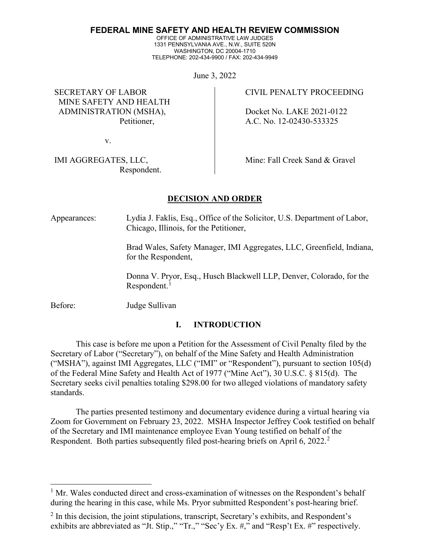#### **FEDERAL MINE SAFETY AND HEALTH REVIEW COMMISSION**

OFFICE OF ADMINISTRATIVE LAW JUDGES 1331 PENNSYLVANIA AVE., N.W., SUITE 520N WASHINGTON, DC 20004-1710 TELEPHONE: 202-434-9900 / FAX: 202-434-9949

June 3, 2022

SECRETARY OF LABOR MINE SAFETY AND HEALTH ADMINISTRATION (MSHA), Petitioner,

v.

IMI AGGREGATES, LLC, Respondent. CIVIL PENALTY PROCEEDING

 Docket No. LAKE 2021-0122 A.C. No. 12-02430-533325

Mine: Fall Creek Sand & Gravel

## **DECISION AND ORDER**

Appearances: Lydia J. Faklis, Esq., Office of the Solicitor, U.S. Department of Labor, Chicago, Illinois, for the Petitioner,

> Brad Wales, Safety Manager, IMI Aggregates, LLC, Greenfield, Indiana, for the Respondent,

Donna V. Pryor, Esq., Husch Blackwell LLP, Denver, Colorado, for the  $Respondent.<sup>1</sup>$  $Respondent.<sup>1</sup>$  $Respondent.<sup>1</sup>$ 

Before: Judge Sullivan

## **I. INTRODUCTION**

This case is before me upon a Petition for the Assessment of Civil Penalty filed by the Secretary of Labor ("Secretary"), on behalf of the Mine Safety and Health Administration ("MSHA"), against IMI Aggregates, LLC ("IMI" or "Respondent"), pursuant to section 105(d) of the Federal Mine Safety and Health Act of 1977 ("Mine Act"), 30 U.S.C. § 815(d). The Secretary seeks civil penalties totaling \$298.00 for two alleged violations of mandatory safety standards.

The parties presented testimony and documentary evidence during a virtual hearing via Zoom for Government on February 23, 2022. MSHA Inspector Jeffrey Cook testified on behalf of the Secretary and IMI maintenance employee Evan Young testified on behalf of the Respondent. Both parties subsequently filed post-hearing briefs on April 6, [2](#page-0-1)022.<sup>2</sup>

<span id="page-0-0"></span><sup>&</sup>lt;sup>1</sup> Mr. Wales conducted direct and cross-examination of witnesses on the Respondent's behalf during the hearing in this case, while Ms. Pryor submitted Respondent's post-hearing brief.

<span id="page-0-1"></span> $2$  In this decision, the joint stipulations, transcript, Secretary's exhibits, and Respondent's exhibits are abbreviated as "Jt. Stip.," "Tr.," "Sec'y Ex. #," and "Resp't Ex. #" respectively.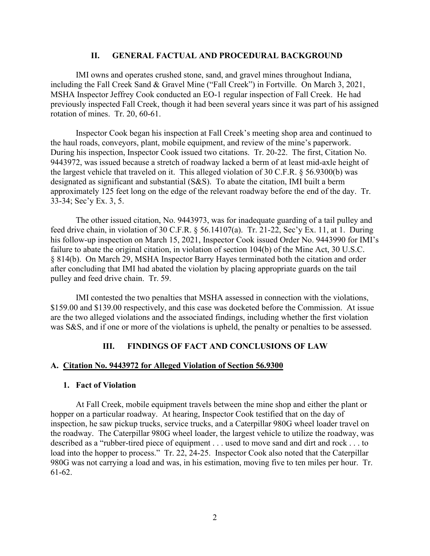#### **II. GENERAL FACTUAL AND PROCEDURAL BACKGROUND**

IMI owns and operates crushed stone, sand, and gravel mines throughout Indiana, including the Fall Creek Sand & Gravel Mine ("Fall Creek") in Fortville. On March 3, 2021, MSHA Inspector Jeffrey Cook conducted an EO-1 regular inspection of Fall Creek. He had previously inspected Fall Creek, though it had been several years since it was part of his assigned rotation of mines. Tr. 20, 60-61.

Inspector Cook began his inspection at Fall Creek's meeting shop area and continued to the haul roads, conveyors, plant, mobile equipment, and review of the mine's paperwork. During his inspection, Inspector Cook issued two citations. Tr. 20-22. The first, Citation No. 9443972, was issued because a stretch of roadway lacked a berm of at least mid-axle height of the largest vehicle that traveled on it. This alleged violation of 30 C.F.R. § 56.9300(b) was designated as significant and substantial (S&S). To abate the citation, IMI built a berm approximately 125 feet long on the edge of the relevant roadway before the end of the day. Tr. 33-34; Sec'y Ex. 3, 5.

The other issued citation, No. 9443973, was for inadequate guarding of a tail pulley and feed drive chain, in violation of 30 C.F.R. § 56.14107(a). Tr. 21-22, Sec'y Ex. 11, at 1. During his follow-up inspection on March 15, 2021, Inspector Cook issued Order No. 9443990 for IMI's failure to abate the original citation, in violation of section 104(b) of the Mine Act, 30 U.S.C. § 814(b). On March 29, MSHA Inspector Barry Hayes terminated both the citation and order after concluding that IMI had abated the violation by placing appropriate guards on the tail pulley and feed drive chain. Tr. 59.

IMI contested the two penalties that MSHA assessed in connection with the violations, \$159.00 and \$139.00 respectively, and this case was docketed before the Commission. At issue are the two alleged violations and the associated findings, including whether the first violation was S&S, and if one or more of the violations is upheld, the penalty or penalties to be assessed.

## **III. FINDINGS OF FACT AND CONCLUSIONS OF LAW**

#### **A. Citation No. 9443972 for Alleged Violation of Section 56.9300**

#### **1. Fact of Violation**

At Fall Creek, mobile equipment travels between the mine shop and either the plant or hopper on a particular roadway. At hearing, Inspector Cook testified that on the day of inspection, he saw pickup trucks, service trucks, and a Caterpillar 980G wheel loader travel on the roadway. The Caterpillar 980G wheel loader, the largest vehicle to utilize the roadway, was described as a "rubber-tired piece of equipment . . . used to move sand and dirt and rock . . . to load into the hopper to process." Tr. 22, 24-25. Inspector Cook also noted that the Caterpillar 980G was not carrying a load and was, in his estimation, moving five to ten miles per hour. Tr. 61-62.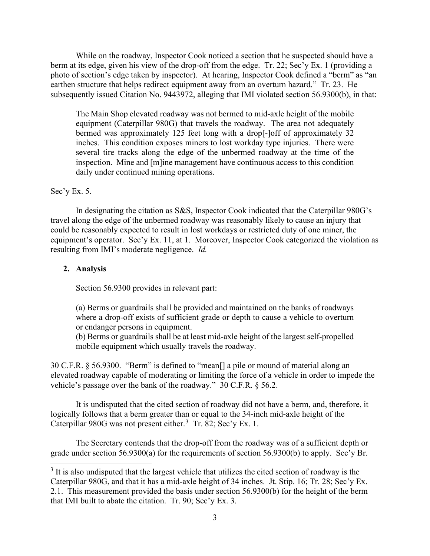While on the roadway, Inspector Cook noticed a section that he suspected should have a berm at its edge, given his view of the drop-off from the edge. Tr. 22; Sec'y Ex. 1 (providing a photo of section's edge taken by inspector). At hearing, Inspector Cook defined a "berm" as "an earthen structure that helps redirect equipment away from an overturn hazard." Tr. 23. He subsequently issued Citation No. 9443972, alleging that IMI violated section 56.9300(b), in that:

The Main Shop elevated roadway was not bermed to mid-axle height of the mobile equipment (Caterpillar 980G) that travels the roadway. The area not adequately bermed was approximately 125 feet long with a drop[-]off of approximately 32 inches. This condition exposes miners to lost workday type injuries. There were several tire tracks along the edge of the unbermed roadway at the time of the inspection. Mine and [m]ine management have continuous access to this condition daily under continued mining operations.

## Sec'y Ex. 5.

In designating the citation as S&S, Inspector Cook indicated that the Caterpillar 980G's travel along the edge of the unbermed roadway was reasonably likely to cause an injury that could be reasonably expected to result in lost workdays or restricted duty of one miner, the equipment's operator. Sec'y Ex. 11, at 1. Moreover, Inspector Cook categorized the violation as resulting from IMI's moderate negligence. *Id.*

## **2. Analysis**

Section 56.9300 provides in relevant part:

(a) Berms or guardrails shall be provided and maintained on the banks of roadways where a drop-off exists of sufficient grade or depth to cause a vehicle to overturn or endanger persons in equipment.

(b) Berms or guardrails shall be at least mid-axle height of the largest self-propelled mobile equipment which usually travels the roadway.

30 C.F.R. § 56.9300. "Berm" is defined to "mean[] a pile or mound of material along an elevated roadway capable of moderating or limiting the force of a vehicle in order to impede the vehicle's passage over the bank of the roadway." 30 C.F.R. § 56.2.

It is undisputed that the cited section of roadway did not have a berm, and, therefore, it logically follows that a berm greater than or equal to the 34-inch mid-axle height of the Caterpillar 980G was not present either.<sup>[3](#page-2-0)</sup> Tr. 82; Sec'y Ex. 1.

The Secretary contends that the drop-off from the roadway was of a sufficient depth or grade under section 56.9300(a) for the requirements of section 56.9300(b) to apply. Sec'y Br.

<span id="page-2-0"></span> $3$  It is also undisputed that the largest vehicle that utilizes the cited section of roadway is the Caterpillar 980G, and that it has a mid-axle height of 34 inches. Jt. Stip. 16; Tr. 28; Sec'y Ex. 2.1. This measurement provided the basis under section 56.9300(b) for the height of the berm that IMI built to abate the citation. Tr. 90; Sec'y Ex. 3.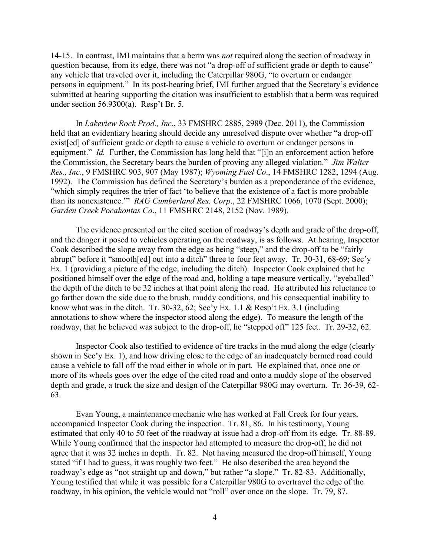14-15. In contrast, IMI maintains that a berm was *not* required along the section of roadway in question because, from its edge, there was not "a drop-off of sufficient grade or depth to cause" any vehicle that traveled over it, including the Caterpillar 980G, "to overturn or endanger persons in equipment." In its post-hearing brief, IMI further argued that the Secretary's evidence submitted at hearing supporting the citation was insufficient to establish that a berm was required under section 56.9300(a). Resp't Br. 5.

In *Lakeview Rock Prod., Inc.*, 33 FMSHRC 2885, 2989 (Dec. 2011), the Commission held that an evidentiary hearing should decide any unresolved dispute over whether "a drop-off exist[ed] of sufficient grade or depth to cause a vehicle to overturn or endanger persons in equipment." *Id.* Further, the Commission has long held that "[i]n an enforcement action before the Commission, the Secretary bears the burden of proving any alleged violation." *Jim Walter Res., Inc*., 9 FMSHRC 903, 907 (May 1987); *Wyoming Fuel Co*., 14 FMSHRC 1282, 1294 (Aug. 1992). The Commission has defined the Secretary's burden as a preponderance of the evidence, "which simply requires the trier of fact 'to believe that the existence of a fact is more probable than its nonexistence.'" *RAG Cumberland Res. Corp*., 22 FMSHRC 1066, 1070 (Sept. 2000); *Garden Creek Pocahontas Co*., 11 FMSHRC 2148, 2152 (Nov. 1989).

The evidence presented on the cited section of roadway's depth and grade of the drop-off, and the danger it posed to vehicles operating on the roadway, is as follows. At hearing, Inspector Cook described the slope away from the edge as being "steep," and the drop-off to be "fairly abrupt" before it "smooth[ed] out into a ditch" three to four feet away. Tr. 30-31, 68-69; Sec'y Ex. 1 (providing a picture of the edge, including the ditch). Inspector Cook explained that he positioned himself over the edge of the road and, holding a tape measure vertically, "eyeballed" the depth of the ditch to be 32 inches at that point along the road. He attributed his reluctance to go farther down the side due to the brush, muddy conditions, and his consequential inability to know what was in the ditch. Tr. 30-32, 62; Sec'y Ex. 1.1 & Resp't Ex. 3.1 (including annotations to show where the inspector stood along the edge). To measure the length of the roadway, that he believed was subject to the drop-off, he "stepped off" 125 feet. Tr. 29-32, 62.

Inspector Cook also testified to evidence of tire tracks in the mud along the edge (clearly shown in Sec'y Ex. 1), and how driving close to the edge of an inadequately bermed road could cause a vehicle to fall off the road either in whole or in part. He explained that, once one or more of its wheels goes over the edge of the cited road and onto a muddy slope of the observed depth and grade, a truck the size and design of the Caterpillar 980G may overturn. Tr. 36-39, 62- 63.

Evan Young, a maintenance mechanic who has worked at Fall Creek for four years, accompanied Inspector Cook during the inspection. Tr. 81, 86. In his testimony, Young estimated that only 40 to 50 feet of the roadway at issue had a drop-off from its edge. Tr. 88-89. While Young confirmed that the inspector had attempted to measure the drop-off, he did not agree that it was 32 inches in depth. Tr. 82. Not having measured the drop-off himself, Young stated "if I had to guess, it was roughly two feet." He also described the area beyond the roadway's edge as "not straight up and down," but rather "a slope." Tr. 82-83. Additionally, Young testified that while it was possible for a Caterpillar 980G to overtravel the edge of the roadway, in his opinion, the vehicle would not "roll" over once on the slope. Tr. 79, 87.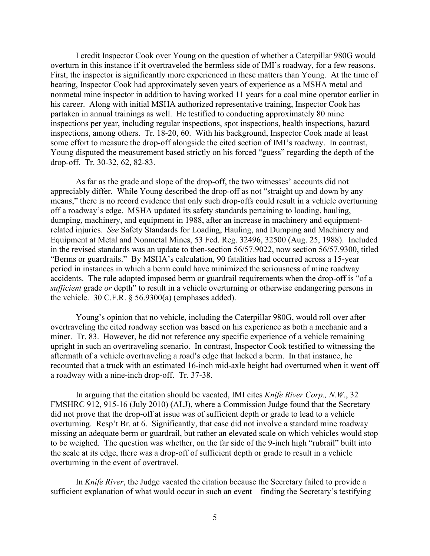I credit Inspector Cook over Young on the question of whether a Caterpillar 980G would overturn in this instance if it overtraveled the bermless side of IMI's roadway, for a few reasons. First, the inspector is significantly more experienced in these matters than Young. At the time of hearing, Inspector Cook had approximately seven years of experience as a MSHA metal and nonmetal mine inspector in addition to having worked 11 years for a coal mine operator earlier in his career. Along with initial MSHA authorized representative training, Inspector Cook has partaken in annual trainings as well. He testified to conducting approximately 80 mine inspections per year, including regular inspections, spot inspections, health inspections, hazard inspections, among others. Tr. 18-20, 60. With his background, Inspector Cook made at least some effort to measure the drop-off alongside the cited section of IMI's roadway. In contrast, Young disputed the measurement based strictly on his forced "guess" regarding the depth of the drop-off. Tr. 30-32, 62, 82-83.

As far as the grade and slope of the drop-off, the two witnesses' accounts did not appreciably differ. While Young described the drop-off as not "straight up and down by any means," there is no record evidence that only such drop-offs could result in a vehicle overturning off a roadway's edge. MSHA updated its safety standards pertaining to loading, hauling, dumping, machinery, and equipment in 1988, after an increase in machinery and equipmentrelated injuries. *See* Safety Standards for Loading, Hauling, and Dumping and Machinery and Equipment at Metal and Nonmetal Mines, 53 Fed. Reg. 32496, 32500 (Aug. 25, 1988). Included in the revised standards was an update to then-section 56/57.9022, now section 56/57.9300, titled "Berms or guardrails." By MSHA's calculation, 90 fatalities had occurred across a 15-year period in instances in which a berm could have minimized the seriousness of mine roadway accidents. The rule adopted imposed berm or guardrail requirements when the drop-off is "of a *sufficient* grade *or* depth" to result in a vehicle overturning or otherwise endangering persons in the vehicle.  $30 \text{ C.F.R.}$  §  $56.9300(a)$  (emphases added).

Young's opinion that no vehicle, including the Caterpillar 980G, would roll over after overtraveling the cited roadway section was based on his experience as both a mechanic and a miner. Tr. 83. However, he did not reference any specific experience of a vehicle remaining upright in such an overtraveling scenario. In contrast, Inspector Cook testified to witnessing the aftermath of a vehicle overtraveling a road's edge that lacked a berm. In that instance, he recounted that a truck with an estimated 16-inch mid-axle height had overturned when it went off a roadway with a nine-inch drop-off. Tr. 37-38.

In arguing that the citation should be vacated, IMI cites *Knife River Corp., N.W.*, 32 FMSHRC 912, 915-16 (July 2010) (ALJ), where a Commission Judge found that the Secretary did not prove that the drop-off at issue was of sufficient depth or grade to lead to a vehicle overturning. Resp't Br. at 6. Significantly, that case did not involve a standard mine roadway missing an adequate berm or guardrail, but rather an elevated scale on which vehicles would stop to be weighed. The question was whether, on the far side of the 9-inch high "rubrail" built into the scale at its edge, there was a drop-off of sufficient depth or grade to result in a vehicle overturning in the event of overtravel.

In *Knife River*, the Judge vacated the citation because the Secretary failed to provide a sufficient explanation of what would occur in such an event—finding the Secretary's testifying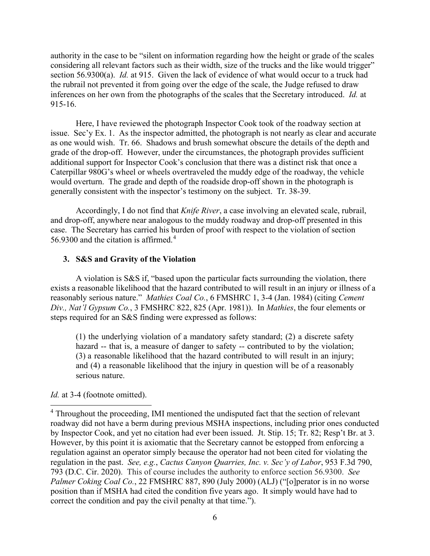authority in the case to be "silent on information regarding how the height or grade of the scales considering all relevant factors such as their width, size of the trucks and the like would trigger" section 56.9300(a). *Id.* at 915. Given the lack of evidence of what would occur to a truck had the rubrail not prevented it from going over the edge of the scale, the Judge refused to draw inferences on her own from the photographs of the scales that the Secretary introduced. *Id.* at 915-16.

Here, I have reviewed the photograph Inspector Cook took of the roadway section at issue. Sec'y Ex. 1. As the inspector admitted, the photograph is not nearly as clear and accurate as one would wish. Tr. 66. Shadows and brush somewhat obscure the details of the depth and grade of the drop-off. However, under the circumstances, the photograph provides sufficient additional support for Inspector Cook's conclusion that there was a distinct risk that once a Caterpillar 980G's wheel or wheels overtraveled the muddy edge of the roadway, the vehicle would overturn. The grade and depth of the roadside drop-off shown in the photograph is generally consistent with the inspector's testimony on the subject. Tr. 38-39.

Accordingly, I do not find that *Knife River*, a case involving an elevated scale, rubrail, and drop-off, anywhere near analogous to the muddy roadway and drop-off presented in this case. The Secretary has carried his burden of proof with respect to the violation of section 56.9300 and the citation is affirmed.[4](#page-5-0)

## **3. S&S and Gravity of the Violation**

A violation is S&S if, "based upon the particular facts surrounding the violation, there exists a reasonable likelihood that the hazard contributed to will result in an injury or illness of a reasonably serious nature." *Mathies Coal Co.*, 6 FMSHRC 1, 3-4 (Jan. 1984) (citing *Cement Div., Nat'l Gypsum Co.*, 3 FMSHRC 822, 825 (Apr. 1981)). In *Mathies*, the four elements or steps required for an S&S finding were expressed as follows:

(1) the underlying violation of a mandatory safety standard; (2) a discrete safety hazard -- that is, a measure of danger to safety -- contributed to by the violation; (3) a reasonable likelihood that the hazard contributed to will result in an injury; and (4) a reasonable likelihood that the injury in question will be of a reasonably serious nature.

## *Id.* at 3-4 (footnote omitted).

<span id="page-5-0"></span><sup>4</sup> Throughout the proceeding, IMI mentioned the undisputed fact that the section of relevant roadway did not have a berm during previous MSHA inspections, including prior ones conducted by Inspector Cook, and yet no citation had ever been issued. Jt. Stip. 15; Tr. 82; Resp't Br. at 3. However, by this point it is axiomatic that the Secretary cannot be estopped from enforcing a regulation against an operator simply because the operator had not been cited for violating the regulation in the past. *See, e.g.*, *Cactus Canyon Quarries, Inc. v. Sec'y of Labor*, 953 F.3d 790, 793 (D.C. Cir. 2020). This of course includes the authority to enforce section 56.9300. *See Palmer Coking Coal Co.*, 22 FMSHRC 887, 890 (July 2000) (ALJ) ("[o] perator is in no worse position than if MSHA had cited the condition five years ago. It simply would have had to correct the condition and pay the civil penalty at that time.").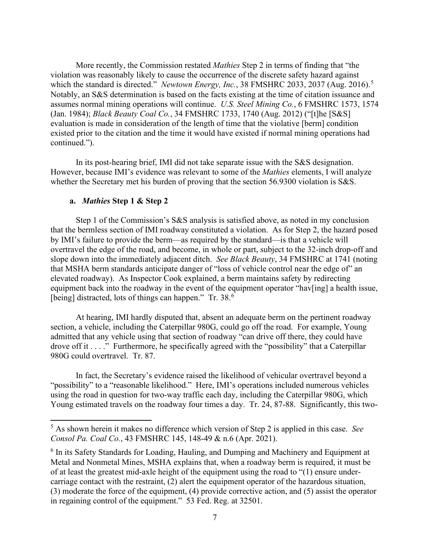More recently, the Commission restated *Mathies* Step 2 in terms of finding that "the violation was reasonably likely to cause the occurrence of the discrete safety hazard against which the standard is directed." *Newtown Energy, Inc.*, 38 FMSHRC 2033, 2037 (Aug. 2016).<sup>[5](#page-6-0)</sup> Notably, an S&S determination is based on the facts existing at the time of citation issuance and assumes normal mining operations will continue. *U.S. Steel Mining Co.*, 6 FMSHRC 1573, 1574 (Jan. 1984); *Black Beauty Coal Co.*, 34 FMSHRC 1733, 1740 (Aug. 2012) ("[t]he [S&S] evaluation is made in consideration of the length of time that the violative [berm] condition existed prior to the citation and the time it would have existed if normal mining operations had continued.").

In its post-hearing brief, IMI did not take separate issue with the S&S designation. However, because IMI's evidence was relevant to some of the *Mathies* elements, I will analyze whether the Secretary met his burden of proving that the section 56.9300 violation is S&S.

## **a.** *Mathies* **Step 1 & Step 2**

Step 1 of the Commission's S&S analysis is satisfied above, as noted in my conclusion that the bermless section of IMI roadway constituted a violation. As for Step 2, the hazard posed by IMI's failure to provide the berm—as required by the standard—is that a vehicle will overtravel the edge of the road, and become, in whole or part, subject to the 32-inch drop-off and slope down into the immediately adjacent ditch. *See Black Beauty*, 34 FMSHRC at 1741 (noting that MSHA berm standards anticipate danger of "loss of vehicle control near the edge of" an elevated roadway). As Inspector Cook explained, a berm maintains safety by redirecting equipment back into the roadway in the event of the equipment operator "hav[ing] a health issue, [being] distracted, lots of things can happen." Tr. 38.<sup>[6](#page-6-1)</sup>

At hearing, IMI hardly disputed that, absent an adequate berm on the pertinent roadway section, a vehicle, including the Caterpillar 980G, could go off the road. For example, Young admitted that any vehicle using that section of roadway "can drive off there, they could have drove off it . . . ." Furthermore, he specifically agreed with the "possibility" that a Caterpillar 980G could overtravel. Tr. 87.

In fact, the Secretary's evidence raised the likelihood of vehicular overtravel beyond a "possibility" to a "reasonable likelihood." Here, IMI's operations included numerous vehicles using the road in question for two-way traffic each day, including the Caterpillar 980G, which Young estimated travels on the roadway four times a day. Tr. 24, 87-88. Significantly, this two-

<span id="page-6-0"></span><sup>5</sup> As shown herein it makes no difference which version of Step 2 is applied in this case. *See Consol Pa. Coal Co.*, 43 FMSHRC 145, 148-49 & n.6 (Apr. 2021).

<span id="page-6-1"></span><sup>&</sup>lt;sup>6</sup> In its Safety Standards for Loading, Hauling, and Dumping and Machinery and Equipment at Metal and Nonmetal Mines, MSHA explains that, when a roadway berm is required, it must be of at least the greatest mid-axle height of the equipment using the road to "(1) ensure undercarriage contact with the restraint, (2) alert the equipment operator of the hazardous situation, (3) moderate the force of the equipment, (4) provide corrective action, and (5) assist the operator in regaining control of the equipment." 53 Fed. Reg. at 32501.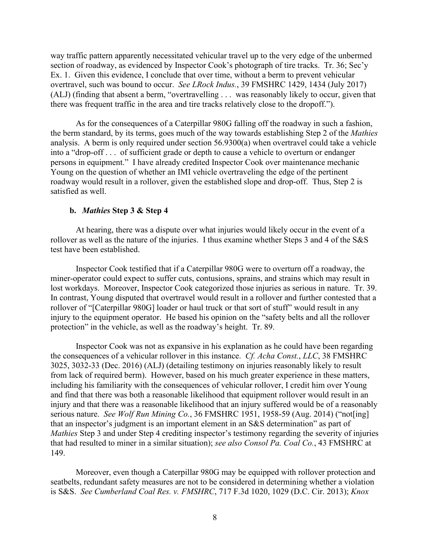way traffic pattern apparently necessitated vehicular travel up to the very edge of the unbermed section of roadway, as evidenced by Inspector Cook's photograph of tire tracks. Tr. 36; Sec'y Ex. 1. Given this evidence, I conclude that over time, without a berm to prevent vehicular overtravel, such was bound to occur. *See LRock Indus.*, 39 FMSHRC 1429, 1434 (July 2017) (ALJ) (finding that absent a berm, "overtravelling . . . was reasonably likely to occur, given that there was frequent traffic in the area and tire tracks relatively close to the dropoff.").

As for the consequences of a Caterpillar 980G falling off the roadway in such a fashion, the berm standard, by its terms, goes much of the way towards establishing Step 2 of the *Mathies* analysis. A berm is only required under section 56.9300(a) when overtravel could take a vehicle into a "drop-off . . . of sufficient grade or depth to cause a vehicle to overturn or endanger persons in equipment." I have already credited Inspector Cook over maintenance mechanic Young on the question of whether an IMI vehicle overtraveling the edge of the pertinent roadway would result in a rollover, given the established slope and drop-off. Thus, Step 2 is satisfied as well.

## **b.** *Mathies* **Step 3 & Step 4**

At hearing, there was a dispute over what injuries would likely occur in the event of a rollover as well as the nature of the injuries. I thus examine whether Steps 3 and 4 of the S&S test have been established.

Inspector Cook testified that if a Caterpillar 980G were to overturn off a roadway, the miner-operator could expect to suffer cuts, contusions, sprains, and strains which may result in lost workdays. Moreover, Inspector Cook categorized those injuries as serious in nature. Tr. 39. In contrast, Young disputed that overtravel would result in a rollover and further contested that a rollover of "[Caterpillar 980G] loader or haul truck or that sort of stuff" would result in any injury to the equipment operator. He based his opinion on the "safety belts and all the rollover protection" in the vehicle, as well as the roadway's height. Tr. 89.

Inspector Cook was not as expansive in his explanation as he could have been regarding the consequences of a vehicular rollover in this instance. *Cf. Acha Const.*, *LLC*, 38 FMSHRC 3025, 3032-33 (Dec. 2016) (ALJ) (detailing testimony on injuries reasonably likely to result from lack of required berm). However, based on his much greater experience in these matters, including his familiarity with the consequences of vehicular rollover, I credit him over Young and find that there was both a reasonable likelihood that equipment rollover would result in an injury and that there was a reasonable likelihood that an injury suffered would be of a reasonably serious nature. *See Wolf Run Mining Co.*, 36 FMSHRC 1951, 1958-59 (Aug. 2014) ("not[ing] that an inspector's judgment is an important element in an S&S determination" as part of *Mathies* Step 3 and under Step 4 crediting inspector's testimony regarding the severity of injuries that had resulted to miner in a similar situation); *see also Consol Pa. Coal Co.*, 43 FMSHRC at 149.

Moreover, even though a Caterpillar 980G may be equipped with rollover protection and seatbelts, redundant safety measures are not to be considered in determining whether a violation is S&S. *See Cumberland Coal Res. v. FMSHRC*, 717 F.3d 1020, 1029 (D.C. Cir. 2013); *Knox*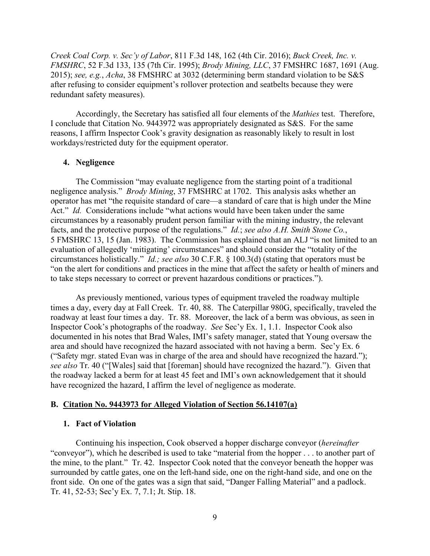*Creek Coal Corp. v. Sec'y of Labor*, 811 F.3d 148, 162 (4th Cir. 2016); *Buck Creek, Inc. v. FMSHRC*, 52 F.3d 133, 135 (7th Cir. 1995); *Brody Mining, LLC*, 37 FMSHRC 1687, 1691 (Aug. 2015); *see, e.g.*, *Acha*, 38 FMSHRC at 3032 (determining berm standard violation to be S&S after refusing to consider equipment's rollover protection and seatbelts because they were redundant safety measures).

Accordingly, the Secretary has satisfied all four elements of the *Mathies* test. Therefore, I conclude that Citation No. 9443972 was appropriately designated as S&S. For the same reasons, I affirm Inspector Cook's gravity designation as reasonably likely to result in lost workdays/restricted duty for the equipment operator.

## **4. Negligence**

The Commission "may evaluate negligence from the starting point of a traditional negligence analysis." *Brody Mining*, 37 FMSHRC at 1702. This analysis asks whether an operator has met "the requisite standard of care—a standard of care that is high under the Mine Act." *Id.* Considerations include "what actions would have been taken under the same circumstances by a reasonably prudent person familiar with the mining industry, the relevant facts, and the protective purpose of the regulations." *Id.*; *see also A.H. Smith Stone Co.*, 5 FMSHRC 13, 15 (Jan. 1983). The Commission has explained that an ALJ "is not limited to an evaluation of allegedly 'mitigating' circumstances" and should consider the "totality of the circumstances holistically." *Id.; see also* 30 C.F.R. § 100.3(d) (stating that operators must be "on the alert for conditions and practices in the mine that affect the safety or health of miners and to take steps necessary to correct or prevent hazardous conditions or practices.").

As previously mentioned, various types of equipment traveled the roadway multiple times a day, every day at Fall Creek. Tr. 40, 88. The Caterpillar 980G, specifically, traveled the roadway at least four times a day. Tr. 88. Moreover, the lack of a berm was obvious, as seen in Inspector Cook's photographs of the roadway. *See* Sec'y Ex. 1, 1.1. Inspector Cook also documented in his notes that Brad Wales, IMI's safety manager, stated that Young oversaw the area and should have recognized the hazard associated with not having a berm. Sec'y Ex. 6 ("Safety mgr. stated Evan was in charge of the area and should have recognized the hazard."); *see also* Tr. 40 ("[Wales] said that [foreman] should have recognized the hazard."). Given that the roadway lacked a berm for at least 45 feet and IMI's own acknowledgement that it should have recognized the hazard, I affirm the level of negligence as moderate.

#### **B. Citation No. 9443973 for Alleged Violation of Section 56.14107(a)**

#### **1. Fact of Violation**

Continuing his inspection, Cook observed a hopper discharge conveyor (*hereinafter* "conveyor"), which he described is used to take "material from the hopper . . . to another part of the mine, to the plant." Tr. 42. Inspector Cook noted that the conveyor beneath the hopper was surrounded by cattle gates, one on the left-hand side, one on the right-hand side, and one on the front side. On one of the gates was a sign that said, "Danger Falling Material" and a padlock. Tr. 41, 52-53; Sec'y Ex. 7, 7.1; Jt. Stip. 18.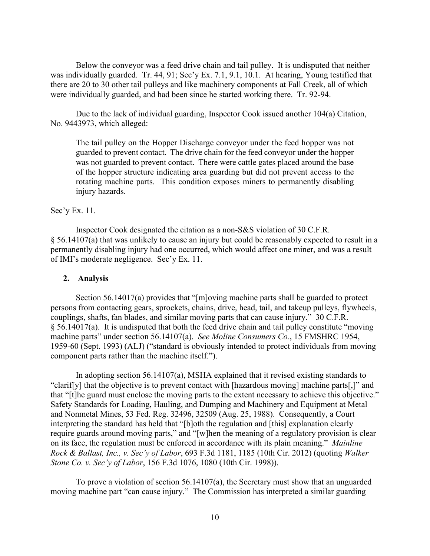Below the conveyor was a feed drive chain and tail pulley. It is undisputed that neither was individually guarded. Tr. 44, 91; Sec'y Ex. 7.1, 9.1, 10.1. At hearing, Young testified that there are 20 to 30 other tail pulleys and like machinery components at Fall Creek, all of which were individually guarded, and had been since he started working there. Tr. 92-94.

Due to the lack of individual guarding, Inspector Cook issued another 104(a) Citation, No. 9443973, which alleged:

The tail pulley on the Hopper Discharge conveyor under the feed hopper was not guarded to prevent contact. The drive chain for the feed conveyor under the hopper was not guarded to prevent contact. There were cattle gates placed around the base of the hopper structure indicating area guarding but did not prevent access to the rotating machine parts. This condition exposes miners to permanently disabling injury hazards.

## Sec'y Ex. 11.

Inspector Cook designated the citation as a non-S&S violation of 30 C.F.R. § 56.14107(a) that was unlikely to cause an injury but could be reasonably expected to result in a permanently disabling injury had one occurred, which would affect one miner, and was a result of IMI's moderate negligence. Sec'y Ex. 11.

## **2. Analysis**

Section 56.14017(a) provides that "[m]oving machine parts shall be guarded to protect persons from contacting gears, sprockets, chains, drive, head, tail, and takeup pulleys, flywheels, couplings, shafts, fan blades, and similar moving parts that can cause injury." 30 C.F.R. § 56.14017(a). It is undisputed that both the feed drive chain and tail pulley constitute "moving machine parts" under section 56.14107(a). *See Moline Consumers Co.*, 15 FMSHRC 1954, 1959-60 (Sept. 1993) (ALJ) ("standard is obviously intended to protect individuals from moving component parts rather than the machine itself.").

In adopting section 56.14107(a), MSHA explained that it revised existing standards to "clarif[y] that the objective is to prevent contact with [hazardous moving] machine parts[,]" and that "[t]he guard must enclose the moving parts to the extent necessary to achieve this objective." Safety Standards for Loading, Hauling, and Dumping and Machinery and Equipment at Metal and Nonmetal Mines, 53 Fed. Reg. 32496, 32509 (Aug. 25, 1988). Consequently, a Court interpreting the standard has held that "[b]oth the regulation and [this] explanation clearly require guards around moving parts," and "[w]hen the meaning of a regulatory provision is clear on its face, the regulation must be enforced in accordance with its plain meaning." *Mainline Rock & Ballast, Inc., v. Sec'y of Labor*, 693 F.3d 1181, 1185 (10th Cir. 2012) (quoting *Walker Stone Co. v. Sec'y of Labor*, 156 F.3d 1076, 1080 (10th Cir. 1998)).

To prove a violation of section 56.14107(a), the Secretary must show that an unguarded moving machine part "can cause injury." The Commission has interpreted a similar guarding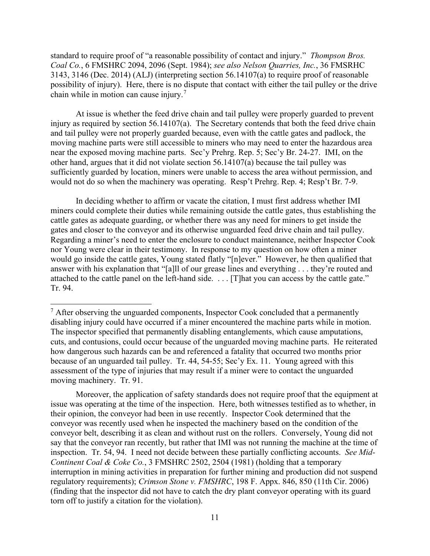standard to require proof of "a reasonable possibility of contact and injury." *Thompson Bros. Coal Co.*, 6 FMSHRC 2094, 2096 (Sept. 1984); *see also Nelson Quarries, Inc.*, 36 FMSRHC 3143, 3146 (Dec. 2014) (ALJ) (interpreting section 56.14107(a) to require proof of reasonable possibility of injury). Here, there is no dispute that contact with either the tail pulley or the drive chain while in motion can cause injury.[7](#page-10-0)

At issue is whether the feed drive chain and tail pulley were properly guarded to prevent injury as required by section 56.14107(a). The Secretary contends that both the feed drive chain and tail pulley were not properly guarded because, even with the cattle gates and padlock, the moving machine parts were still accessible to miners who may need to enter the hazardous area near the exposed moving machine parts. Sec'y Prehrg. Rep. 5; Sec'y Br. 24-27. IMI, on the other hand, argues that it did not violate section 56.14107(a) because the tail pulley was sufficiently guarded by location, miners were unable to access the area without permission, and would not do so when the machinery was operating. Resp't Prehrg. Rep. 4; Resp't Br. 7-9.

In deciding whether to affirm or vacate the citation, I must first address whether IMI miners could complete their duties while remaining outside the cattle gates, thus establishing the cattle gates as adequate guarding, or whether there was any need for miners to get inside the gates and closer to the conveyor and its otherwise unguarded feed drive chain and tail pulley. Regarding a miner's need to enter the enclosure to conduct maintenance, neither Inspector Cook nor Young were clear in their testimony. In response to my question on how often a miner would go inside the cattle gates, Young stated flatly "[n]ever." However, he then qualified that answer with his explanation that "[a]ll of our grease lines and everything . . . they're routed and attached to the cattle panel on the left-hand side. . . . [T]hat you can access by the cattle gate." Tr. 94.

Moreover, the application of safety standards does not require proof that the equipment at issue was operating at the time of the inspection. Here, both witnesses testified as to whether, in their opinion, the conveyor had been in use recently. Inspector Cook determined that the conveyor was recently used when he inspected the machinery based on the condition of the conveyor belt, describing it as clean and without rust on the rollers. Conversely, Young did not say that the conveyor ran recently, but rather that IMI was not running the machine at the time of inspection. Tr. 54, 94. I need not decide between these partially conflicting accounts. *See Mid-Continent Coal & Coke Co.*, 3 FMSHRC 2502, 2504 (1981) (holding that a temporary interruption in mining activities in preparation for further mining and production did not suspend regulatory requirements); *Crimson Stone v. FMSHRC*, 198 F. Appx. 846, 850 (11th Cir. 2006) (finding that the inspector did not have to catch the dry plant conveyor operating with its guard torn off to justify a citation for the violation).

<span id="page-10-0"></span> $<sup>7</sup>$  After observing the unguarded components, Inspector Cook concluded that a permanently</sup> disabling injury could have occurred if a miner encountered the machine parts while in motion. The inspector specified that permanently disabling entanglements, which cause amputations, cuts, and contusions, could occur because of the unguarded moving machine parts. He reiterated how dangerous such hazards can be and referenced a fatality that occurred two months prior because of an unguarded tail pulley. Tr. 44, 54-55; Sec'y Ex. 11. Young agreed with this assessment of the type of injuries that may result if a miner were to contact the unguarded moving machinery. Tr. 91.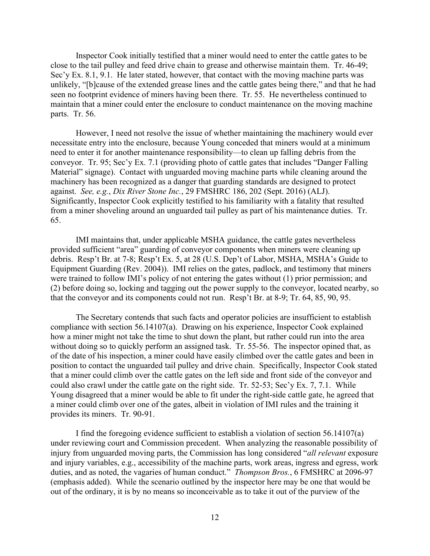Inspector Cook initially testified that a miner would need to enter the cattle gates to be close to the tail pulley and feed drive chain to grease and otherwise maintain them. Tr. 46-49; Sec'y Ex. 8.1, 9.1. He later stated, however, that contact with the moving machine parts was unlikely, "[b]cause of the extended grease lines and the cattle gates being there," and that he had seen no footprint evidence of miners having been there. Tr. 55. He nevertheless continued to maintain that a miner could enter the enclosure to conduct maintenance on the moving machine parts. Tr. 56.

However, I need not resolve the issue of whether maintaining the machinery would ever necessitate entry into the enclosure, because Young conceded that miners would at a minimum need to enter it for another maintenance responsibility—to clean up falling debris from the conveyor. Tr. 95; Sec'y Ex. 7.1 (providing photo of cattle gates that includes "Danger Falling Material" signage). Contact with unguarded moving machine parts while cleaning around the machinery has been recognized as a danger that guarding standards are designed to protect against. *See, e.g.*, *Dix River Stone Inc.*, 29 FMSHRC 186, 202 (Sept. 2016) (ALJ). Significantly, Inspector Cook explicitly testified to his familiarity with a fatality that resulted from a miner shoveling around an unguarded tail pulley as part of his maintenance duties. Tr. 65.

IMI maintains that, under applicable MSHA guidance, the cattle gates nevertheless provided sufficient "area" guarding of conveyor components when miners were cleaning up debris. Resp't Br. at 7-8; Resp't Ex. 5, at 28 (U.S. Dep't of Labor, MSHA, MSHA's Guide to Equipment Guarding (Rev. 2004)). IMI relies on the gates, padlock, and testimony that miners were trained to follow IMI's policy of not entering the gates without (1) prior permission; and (2) before doing so, locking and tagging out the power supply to the conveyor, located nearby, so that the conveyor and its components could not run. Resp't Br. at 8-9; Tr. 64, 85, 90, 95.

The Secretary contends that such facts and operator policies are insufficient to establish compliance with section 56.14107(a). Drawing on his experience, Inspector Cook explained how a miner might not take the time to shut down the plant, but rather could run into the area without doing so to quickly perform an assigned task. Tr. 55-56. The inspector opined that, as of the date of his inspection, a miner could have easily climbed over the cattle gates and been in position to contact the unguarded tail pulley and drive chain. Specifically, Inspector Cook stated that a miner could climb over the cattle gates on the left side and front side of the conveyor and could also crawl under the cattle gate on the right side. Tr. 52-53; Sec'y Ex. 7, 7.1. While Young disagreed that a miner would be able to fit under the right-side cattle gate, he agreed that a miner could climb over one of the gates, albeit in violation of IMI rules and the training it provides its miners. Tr. 90-91.

I find the foregoing evidence sufficient to establish a violation of section 56.14107(a) under reviewing court and Commission precedent. When analyzing the reasonable possibility of injury from unguarded moving parts, the Commission has long considered "*all relevant* exposure and injury variables, e.g., accessibility of the machine parts, work areas, ingress and egress, work duties, and as noted, the vagaries of human conduct." *Thompson Bros.*, 6 FMSHRC at 2096-97 (emphasis added). While the scenario outlined by the inspector here may be one that would be out of the ordinary, it is by no means so inconceivable as to take it out of the purview of the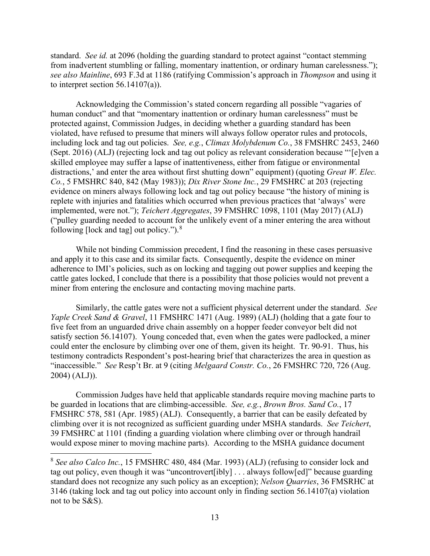standard. *See id.* at 2096 (holding the guarding standard to protect against "contact stemming from inadvertent stumbling or falling, momentary inattention, or ordinary human carelessness."); *see also Mainline*, 693 F.3d at 1186 (ratifying Commission's approach in *Thompson* and using it to interpret section  $56.14107(a)$ ).

Acknowledging the Commission's stated concern regarding all possible "vagaries of human conduct" and that "momentary inattention or ordinary human carelessness" must be protected against, Commission Judges, in deciding whether a guarding standard has been violated, have refused to presume that miners will always follow operator rules and protocols, including lock and tag out policies. *See, e.g.*, *Climax Molybdenum Co.*, 38 FMSHRC 2453, 2460 (Sept. 2016) (ALJ) (rejecting lock and tag out policy as relevant consideration because "'[e]ven a skilled employee may suffer a lapse of inattentiveness, either from fatigue or environmental distractions,' and enter the area without first shutting down" equipment) (quoting *Great W. Elec. Co.*, 5 FMSHRC 840, 842 (May 1983)); *Dix River Stone Inc.*, 29 FMSHRC at 203 (rejecting evidence on miners always following lock and tag out policy because "the history of mining is replete with injuries and fatalities which occurred when previous practices that 'always' were implemented, were not."); *Teichert Aggregates*, 39 FMSHRC 1098, 1101 (May 2017) (ALJ) ("pulley guarding needed to account for the unlikely event of a miner entering the area without following [lock and tag] out policy."). $8$ 

While not binding Commission precedent, I find the reasoning in these cases persuasive and apply it to this case and its similar facts. Consequently, despite the evidence on miner adherence to IMI's policies, such as on locking and tagging out power supplies and keeping the cattle gates locked, I conclude that there is a possibility that those policies would not prevent a miner from entering the enclosure and contacting moving machine parts.

Similarly, the cattle gates were not a sufficient physical deterrent under the standard. *See Yaple Creek Sand & Gravel*, 11 FMSHRC 1471 (Aug. 1989) (ALJ) (holding that a gate four to five feet from an unguarded drive chain assembly on a hopper feeder conveyor belt did not satisfy section 56.14107). Young conceded that, even when the gates were padlocked, a miner could enter the enclosure by climbing over one of them, given its height. Tr. 90-91. Thus, his testimony contradicts Respondent's post-hearing brief that characterizes the area in question as "inaccessible." *See* Resp't Br. at 9 (citing *Melgaard Constr. Co.*, 26 FMSHRC 720, 726 (Aug. 2004) (ALJ)).

Commission Judges have held that applicable standards require moving machine parts to be guarded in locations that are climbing-accessible. *See, e.g.*, *Brown Bros. Sand Co.*, 17 FMSHRC 578, 581 (Apr. 1985) (ALJ). Consequently, a barrier that can be easily defeated by climbing over it is not recognized as sufficient guarding under MSHA standards. *See Teichert*, 39 FMSHRC at 1101 (finding a guarding violation where climbing over or through handrail would expose miner to moving machine parts). According to the MSHA guidance document

<span id="page-12-0"></span><sup>8</sup> *See also Calco Inc.*, 15 FMSHRC 480, 484 (Mar. 1993) (ALJ) (refusing to consider lock and tag out policy, even though it was "uncontrovert[ibly] . . . always follow[ed]" because guarding standard does not recognize any such policy as an exception); *Nelson Quarries*, 36 FMSRHC at 3146 (taking lock and tag out policy into account only in finding section 56.14107(a) violation not to be S&S).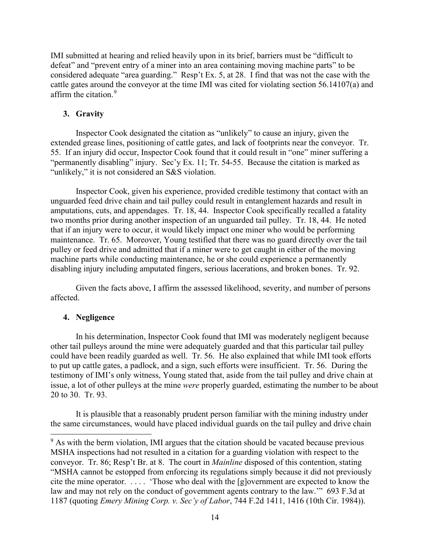IMI submitted at hearing and relied heavily upon in its brief, barriers must be "difficult to defeat" and "prevent entry of a miner into an area containing moving machine parts" to be considered adequate "area guarding." Resp't Ex. 5, at 28. I find that was not the case with the cattle gates around the conveyor at the time IMI was cited for violating section 56.14107(a) and affirm the citation.<sup>[9](#page-13-0)</sup>

## **3. Gravity**

Inspector Cook designated the citation as "unlikely" to cause an injury, given the extended grease lines, positioning of cattle gates, and lack of footprints near the conveyor. Tr. 55. If an injury did occur, Inspector Cook found that it could result in "one" miner suffering a "permanently disabling" injury. Sec'y Ex. 11; Tr. 54-55. Because the citation is marked as "unlikely," it is not considered an S&S violation.

Inspector Cook, given his experience, provided credible testimony that contact with an unguarded feed drive chain and tail pulley could result in entanglement hazards and result in amputations, cuts, and appendages. Tr. 18, 44. Inspector Cook specifically recalled a fatality two months prior during another inspection of an unguarded tail pulley. Tr. 18, 44. He noted that if an injury were to occur, it would likely impact one miner who would be performing maintenance. Tr. 65. Moreover, Young testified that there was no guard directly over the tail pulley or feed drive and admitted that if a miner were to get caught in either of the moving machine parts while conducting maintenance, he or she could experience a permanently disabling injury including amputated fingers, serious lacerations, and broken bones. Tr. 92.

Given the facts above, I affirm the assessed likelihood, severity, and number of persons affected.

## **4. Negligence**

In his determination, Inspector Cook found that IMI was moderately negligent because other tail pulleys around the mine were adequately guarded and that this particular tail pulley could have been readily guarded as well. Tr. 56. He also explained that while IMI took efforts to put up cattle gates, a padlock, and a sign, such efforts were insufficient. Tr. 56. During the testimony of IMI's only witness, Young stated that, aside from the tail pulley and drive chain at issue, a lot of other pulleys at the mine *were* properly guarded, estimating the number to be about 20 to 30. Tr. 93.

It is plausible that a reasonably prudent person familiar with the mining industry under the same circumstances, would have placed individual guards on the tail pulley and drive chain

<span id="page-13-0"></span><sup>&</sup>lt;sup>9</sup> As with the berm violation, IMI argues that the citation should be vacated because previous MSHA inspections had not resulted in a citation for a guarding violation with respect to the conveyor. Tr. 86; Resp't Br. at 8. The court in *Mainline* disposed of this contention, stating "MSHA cannot be estopped from enforcing its regulations simply because it did not previously cite the mine operator. . . . . 'Those who deal with the [g]overnment are expected to know the law and may not rely on the conduct of government agents contrary to the law.'" 693 F.3d at 1187 (quoting *Emery Mining Corp. v. Sec'y of Labor*, 744 F.2d 1411, 1416 (10th Cir. 1984)).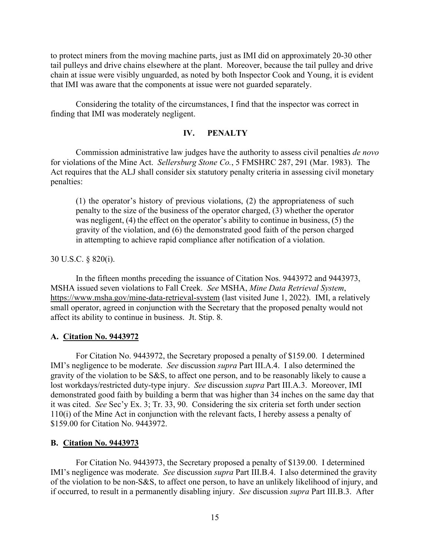to protect miners from the moving machine parts, just as IMI did on approximately 20-30 other tail pulleys and drive chains elsewhere at the plant. Moreover, because the tail pulley and drive chain at issue were visibly unguarded, as noted by both Inspector Cook and Young, it is evident that IMI was aware that the components at issue were not guarded separately.

Considering the totality of the circumstances, I find that the inspector was correct in finding that IMI was moderately negligent.

## **IV. PENALTY**

Commission administrative law judges have the authority to assess civil penalties *de novo* for violations of the Mine Act. *Sellersburg Stone Co.*, 5 FMSHRC 287, 291 (Mar. 1983). The Act requires that the ALJ shall consider six statutory penalty criteria in assessing civil monetary penalties:

(1) the operator's history of previous violations, (2) the appropriateness of such penalty to the size of the business of the operator charged, (3) whether the operator was negligent, (4) the effect on the operator's ability to continue in business, (5) the gravity of the violation, and (6) the demonstrated good faith of the person charged in attempting to achieve rapid compliance after notification of a violation.

30 U.S.C. § 820(i).

In the fifteen months preceding the issuance of Citation Nos. 9443972 and 9443973, MSHA issued seven violations to Fall Creek. *See* MSHA, *Mine Data Retrieval System*, <https://www.msha.gov/mine-data-retrieval-system>(last visited June 1, 2022). IMI, a relatively small operator, agreed in conjunction with the Secretary that the proposed penalty would not affect its ability to continue in business. Jt. Stip. 8.

#### **A. Citation No. 9443972**

For Citation No. 9443972, the Secretary proposed a penalty of \$159.00. I determined IMI's negligence to be moderate. *See* discussion *supra* Part III.A.4. I also determined the gravity of the violation to be S&S, to affect one person, and to be reasonably likely to cause a lost workdays/restricted duty-type injury. *See* discussion *supra* Part III.A.3. Moreover, IMI demonstrated good faith by building a berm that was higher than 34 inches on the same day that it was cited. *See* Sec'y Ex. 3; Tr. 33, 90. Considering the six criteria set forth under section 110(i) of the Mine Act in conjunction with the relevant facts, I hereby assess a penalty of \$159.00 for Citation No. 9443972.

#### **B. Citation No. 9443973**

For Citation No. 9443973, the Secretary proposed a penalty of \$139.00. I determined IMI's negligence was moderate. *See* discussion *supra* Part III.B.4. I also determined the gravity of the violation to be non-S&S, to affect one person, to have an unlikely likelihood of injury, and if occurred, to result in a permanently disabling injury. *See* discussion *supra* Part III.B.3. After